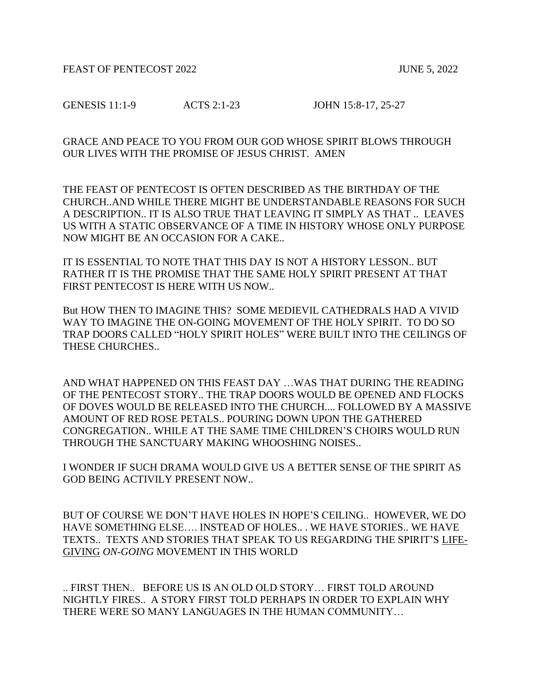FEAST OF PENTECOST 2022 JUNE 5, 2022

GENESIS 11:1-9 ACTS 2:1-23 JOHN 15:8-17, 25-27

GRACE AND PEACE TO YOU FROM OUR GOD WHOSE SPIRIT BLOWS THROUGH OUR LIVES WITH THE PROMISE OF JESUS CHRIST. AMEN

THE FEAST OF PENTECOST IS OFTEN DESCRIBED AS THE BIRTHDAY OF THE CHURCH..AND WHILE THERE MIGHT BE UNDERSTANDABLE REASONS FOR SUCH A DESCRIPTION.. IT IS ALSO TRUE THAT LEAVING IT SIMPLY AS THAT .. LEAVES US WITH A STATIC OBSERVANCE OF A TIME IN HISTORY WHOSE ONLY PURPOSE NOW MIGHT BE AN OCCASION FOR A CAKE..

IT IS ESSENTIAL TO NOTE THAT THIS DAY IS NOT A HISTORY LESSON.. BUT RATHER IT IS THE PROMISE THAT THE SAME HOLY SPIRIT PRESENT AT THAT FIRST PENTECOST IS HERE WITH US NOW..

But HOW THEN TO IMAGINE THIS? SOME MEDIEVIL CATHEDRALS HAD A VIVID WAY TO IMAGINE THE ON-GOING MOVEMENT OF THE HOLY SPIRIT. TO DO SO TRAP DOORS CALLED "HOLY SPIRIT HOLES" WERE BUILT INTO THE CEILINGS OF THESE CHURCHES..

AND WHAT HAPPENED ON THIS FEAST DAY …WAS THAT DURING THE READING OF THE PENTECOST STORY.. THE TRAP DOORS WOULD BE OPENED AND FLOCKS OF DOVES WOULD BE RELEASED INTO THE CHURCH.... FOLLOWED BY A MASSIVE AMOUNT OF RED ROSE PETALS.. POURING DOWN UPON THE GATHERED CONGREGATION.. WHILE AT THE SAME TIME CHILDREN'S CHOIRS WOULD RUN THROUGH THE SANCTUARY MAKING WHOOSHING NOISES..

I WONDER IF SUCH DRAMA WOULD GIVE US A BETTER SENSE OF THE SPIRIT AS GOD BEING ACTIVILY PRESENT NOW..

BUT OF COURSE WE DON'T HAVE HOLES IN HOPE'S CEILING.. HOWEVER, WE DO HAVE SOMETHING ELSE…. INSTEAD OF HOLES.. . WE HAVE STORIES.. WE HAVE TEXTS.. TEXTS AND STORIES THAT SPEAK TO US REGARDING THE SPIRIT'S LIFE-GIVING *ON-GOING* MOVEMENT IN THIS WORLD

.. FIRST THEN.. BEFORE US IS AN OLD OLD STORY… FIRST TOLD AROUND NIGHTLY FIRES.. A STORY FIRST TOLD PERHAPS IN ORDER TO EXPLAIN WHY THERE WERE SO MANY LANGUAGES IN THE HUMAN COMMUNITY…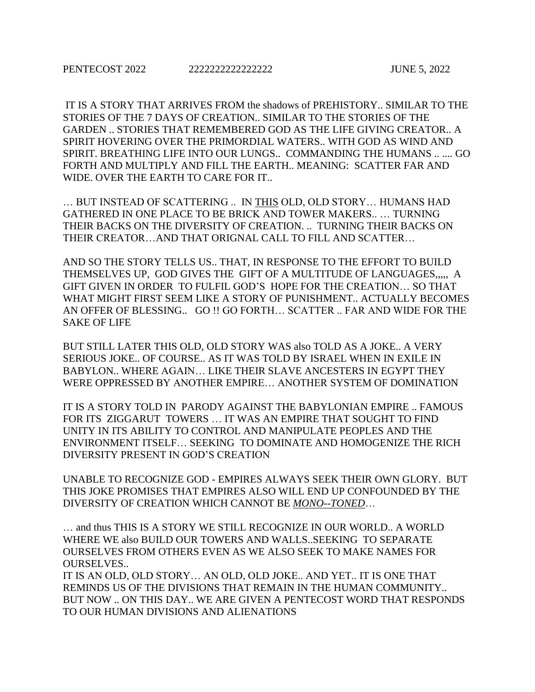IT IS A STORY THAT ARRIVES FROM the shadows of PREHISTORY.. SIMILAR TO THE STORIES OF THE 7 DAYS OF CREATION.. SIMILAR TO THE STORIES OF THE GARDEN .. STORIES THAT REMEMBERED GOD AS THE LIFE GIVING CREATOR.. A SPIRIT HOVERING OVER THE PRIMORDIAL WATERS.. WITH GOD AS WIND AND SPIRIT. BREATHING LIFE INTO OUR LUNGS.. COMMANDING THE HUMANS .. .... GO FORTH AND MULTIPLY AND FILL THE EARTH.. MEANING: SCATTER FAR AND WIDE. OVER THE EARTH TO CARE FOR IT..

… BUT INSTEAD OF SCATTERING .. IN THIS OLD, OLD STORY… HUMANS HAD GATHERED IN ONE PLACE TO BE BRICK AND TOWER MAKERS.. … TURNING THEIR BACKS ON THE DIVERSITY OF CREATION. .. TURNING THEIR BACKS ON THEIR CREATOR…AND THAT ORIGNAL CALL TO FILL AND SCATTER…

AND SO THE STORY TELLS US.. THAT, IN RESPONSE TO THE EFFORT TO BUILD THEMSELVES UP, GOD GIVES THE GIFT OF A MULTITUDE OF LANGUAGES,,,,, A GIFT GIVEN IN ORDER TO FULFIL GOD'S HOPE FOR THE CREATION… SO THAT WHAT MIGHT FIRST SEEM LIKE A STORY OF PUNISHMENT.. ACTUALLY BECOMES AN OFFER OF BLESSING.. GO !! GO FORTH… SCATTER .. FAR AND WIDE FOR THE SAKE OF LIFE

BUT STILL LATER THIS OLD, OLD STORY WAS also TOLD AS A JOKE.. A VERY SERIOUS JOKE.. OF COURSE.. AS IT WAS TOLD BY ISRAEL WHEN IN EXILE IN BABYLON.. WHERE AGAIN… LIKE THEIR SLAVE ANCESTERS IN EGYPT THEY WERE OPPRESSED BY ANOTHER EMPIRE… ANOTHER SYSTEM OF DOMINATION

IT IS A STORY TOLD IN PARODY AGAINST THE BABYLONIAN EMPIRE .. FAMOUS FOR ITS ZIGGARUT TOWERS … IT WAS AN EMPIRE THAT SOUGHT TO FIND UNITY IN ITS ABILITY TO CONTROL AND MANIPULATE PEOPLES AND THE ENVIRONMENT ITSELF… SEEKING TO DOMINATE AND HOMOGENIZE THE RICH DIVERSITY PRESENT IN GOD'S CREATION

UNABLE TO RECOGNIZE GOD - EMPIRES ALWAYS SEEK THEIR OWN GLORY. BUT THIS JOKE PROMISES THAT EMPIRES ALSO WILL END UP CONFOUNDED BY THE DIVERSITY OF CREATION WHICH CANNOT BE *MONO--TONED*…

… and thus THIS IS A STORY WE STILL RECOGNIZE IN OUR WORLD.. A WORLD WHERE WE also BUILD OUR TOWERS AND WALLS..SEEKING TO SEPARATE OURSELVES FROM OTHERS EVEN AS WE ALSO SEEK TO MAKE NAMES FOR OURSELVES..

IT IS AN OLD, OLD STORY… AN OLD, OLD JOKE.. AND YET.. IT IS ONE THAT REMINDS US OF THE DIVISIONS THAT REMAIN IN THE HUMAN COMMUNITY.. BUT NOW .. ON THIS DAY.. WE ARE GIVEN A PENTECOST WORD THAT RESPONDS TO OUR HUMAN DIVISIONS AND ALIENATIONS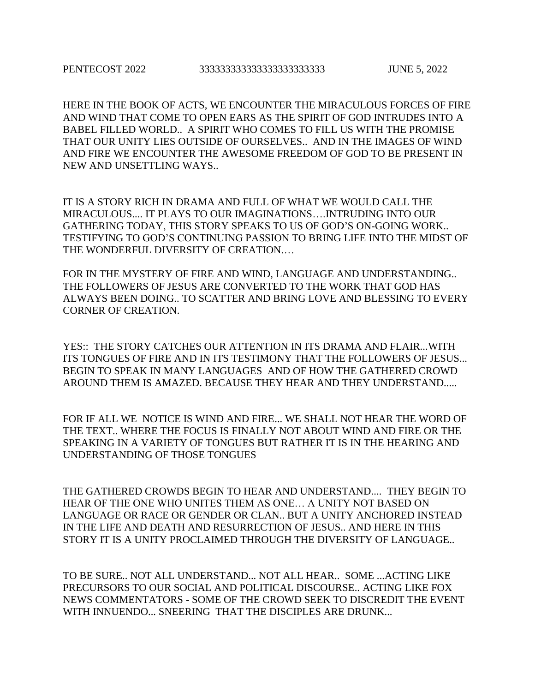HERE IN THE BOOK OF ACTS, WE ENCOUNTER THE MIRACULOUS FORCES OF FIRE AND WIND THAT COME TO OPEN EARS AS THE SPIRIT OF GOD INTRUDES INTO A BABEL FILLED WORLD.. A SPIRIT WHO COMES TO FILL US WITH THE PROMISE THAT OUR UNITY LIES OUTSIDE OF OURSELVES.. AND IN THE IMAGES OF WIND AND FIRE WE ENCOUNTER THE AWESOME FREEDOM OF GOD TO BE PRESENT IN NEW AND UNSETTLING WAYS..

IT IS A STORY RICH IN DRAMA AND FULL OF WHAT WE WOULD CALL THE MIRACULOUS.... IT PLAYS TO OUR IMAGINATIONS….INTRUDING INTO OUR GATHERING TODAY, THIS STORY SPEAKS TO US OF GOD'S ON-GOING WORK.. TESTIFYING TO GOD'S CONTINUING PASSION TO BRING LIFE INTO THE MIDST OF THE WONDERFUL DIVERSITY OF CREATION.…

FOR IN THE MYSTERY OF FIRE AND WIND, LANGUAGE AND UNDERSTANDING.. THE FOLLOWERS OF JESUS ARE CONVERTED TO THE WORK THAT GOD HAS ALWAYS BEEN DOING.. TO SCATTER AND BRING LOVE AND BLESSING TO EVERY CORNER OF CREATION.

YES:: THE STORY CATCHES OUR ATTENTION IN ITS DRAMA AND FLAIR...WITH ITS TONGUES OF FIRE AND IN ITS TESTIMONY THAT THE FOLLOWERS OF JESUS... BEGIN TO SPEAK IN MANY LANGUAGES AND OF HOW THE GATHERED CROWD AROUND THEM IS AMAZED. BECAUSE THEY HEAR AND THEY UNDERSTAND.....

FOR IF ALL WE NOTICE IS WIND AND FIRE... WE SHALL NOT HEAR THE WORD OF THE TEXT.. WHERE THE FOCUS IS FINALLY NOT ABOUT WIND AND FIRE OR THE SPEAKING IN A VARIETY OF TONGUES BUT RATHER IT IS IN THE HEARING AND UNDERSTANDING OF THOSE TONGUES

THE GATHERED CROWDS BEGIN TO HEAR AND UNDERSTAND.... THEY BEGIN TO HEAR OF THE ONE WHO UNITES THEM AS ONE… A UNITY NOT BASED ON LANGUAGE OR RACE OR GENDER OR CLAN.. BUT A UNITY ANCHORED INSTEAD IN THE LIFE AND DEATH AND RESURRECTION OF JESUS.. AND HERE IN THIS STORY IT IS A UNITY PROCLAIMED THROUGH THE DIVERSITY OF LANGUAGE..

TO BE SURE.. NOT ALL UNDERSTAND... NOT ALL HEAR.. SOME ...ACTING LIKE PRECURSORS TO OUR SOCIAL AND POLITICAL DISCOURSE.. ACTING LIKE FOX NEWS COMMENTATORS - SOME OF THE CROWD SEEK TO DISCREDIT THE EVENT WITH INNUENDO... SNEERING THAT THE DISCIPLES ARE DRUNK...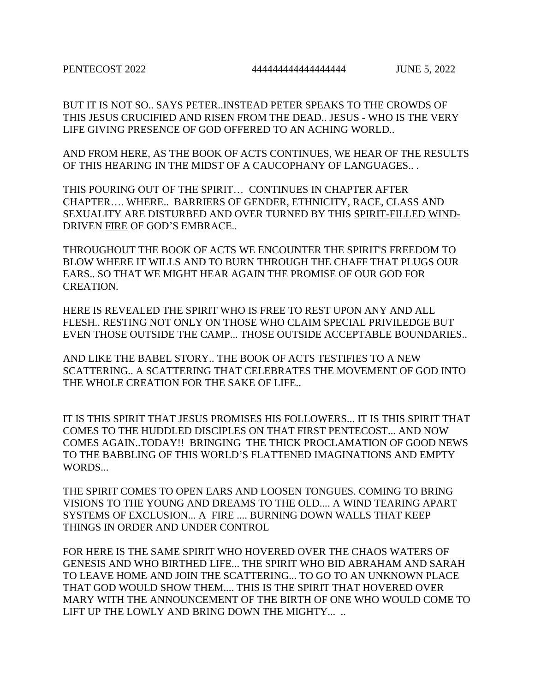BUT IT IS NOT SO.. SAYS PETER..INSTEAD PETER SPEAKS TO THE CROWDS OF THIS JESUS CRUCIFIED AND RISEN FROM THE DEAD.. JESUS - WHO IS THE VERY LIFE GIVING PRESENCE OF GOD OFFERED TO AN ACHING WORLD..

AND FROM HERE, AS THE BOOK OF ACTS CONTINUES, WE HEAR OF THE RESULTS OF THIS HEARING IN THE MIDST OF A CAUCOPHANY OF LANGUAGES.. .

THIS POURING OUT OF THE SPIRIT… CONTINUES IN CHAPTER AFTER CHAPTER…. WHERE.. BARRIERS OF GENDER, ETHNICITY, RACE, CLASS AND SEXUALITY ARE DISTURBED AND OVER TURNED BY THIS SPIRIT-FILLED WIND-DRIVEN FIRE OF GOD'S EMBRACE..

THROUGHOUT THE BOOK OF ACTS WE ENCOUNTER THE SPIRIT'S FREEDOM TO BLOW WHERE IT WILLS AND TO BURN THROUGH THE CHAFF THAT PLUGS OUR EARS.. SO THAT WE MIGHT HEAR AGAIN THE PROMISE OF OUR GOD FOR CREATION.

HERE IS REVEALED THE SPIRIT WHO IS FREE TO REST UPON ANY AND ALL FLESH.. RESTING NOT ONLY ON THOSE WHO CLAIM SPECIAL PRIVILEDGE BUT EVEN THOSE OUTSIDE THE CAMP... THOSE OUTSIDE ACCEPTABLE BOUNDARIES..

AND LIKE THE BABEL STORY.. THE BOOK OF ACTS TESTIFIES TO A NEW SCATTERING.. A SCATTERING THAT CELEBRATES THE MOVEMENT OF GOD INTO THE WHOLE CREATION FOR THE SAKE OF LIFE..

IT IS THIS SPIRIT THAT JESUS PROMISES HIS FOLLOWERS... IT IS THIS SPIRIT THAT COMES TO THE HUDDLED DISCIPLES ON THAT FIRST PENTECOST... AND NOW COMES AGAIN..TODAY!! BRINGING THE THICK PROCLAMATION OF GOOD NEWS TO THE BABBLING OF THIS WORLD'S FLATTENED IMAGINATIONS AND EMPTY WORDS...

THE SPIRIT COMES TO OPEN EARS AND LOOSEN TONGUES. COMING TO BRING VISIONS TO THE YOUNG AND DREAMS TO THE OLD.... A WIND TEARING APART SYSTEMS OF EXCLUSION... A FIRE .... BURNING DOWN WALLS THAT KEEP THINGS IN ORDER AND UNDER CONTROL

FOR HERE IS THE SAME SPIRIT WHO HOVERED OVER THE CHAOS WATERS OF GENESIS AND WHO BIRTHED LIFE... THE SPIRIT WHO BID ABRAHAM AND SARAH TO LEAVE HOME AND JOIN THE SCATTERING... TO GO TO AN UNKNOWN PLACE THAT GOD WOULD SHOW THEM.... THIS IS THE SPIRIT THAT HOVERED OVER MARY WITH THE ANNOUNCEMENT OF THE BIRTH OF ONE WHO WOULD COME TO LIFT UP THE LOWLY AND BRING DOWN THE MIGHTY....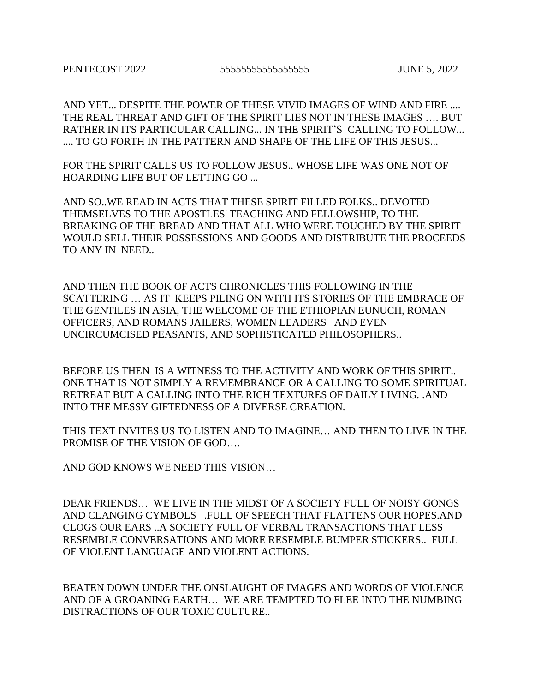AND YET... DESPITE THE POWER OF THESE VIVID IMAGES OF WIND AND FIRE .... THE REAL THREAT AND GIFT OF THE SPIRIT LIES NOT IN THESE IMAGES …. BUT RATHER IN ITS PARTICULAR CALLING... IN THE SPIRIT'S CALLING TO FOLLOW... .... TO GO FORTH IN THE PATTERN AND SHAPE OF THE LIFE OF THIS JESUS...

FOR THE SPIRIT CALLS US TO FOLLOW JESUS.. WHOSE LIFE WAS ONE NOT OF HOARDING LIFE BUT OF LETTING GO ...

AND SO..WE READ IN ACTS THAT THESE SPIRIT FILLED FOLKS.. DEVOTED THEMSELVES TO THE APOSTLES' TEACHING AND FELLOWSHIP, TO THE BREAKING OF THE BREAD AND THAT ALL WHO WERE TOUCHED BY THE SPIRIT WOULD SELL THEIR POSSESSIONS AND GOODS AND DISTRIBUTE THE PROCEEDS TO ANY IN NEED..

AND THEN THE BOOK OF ACTS CHRONICLES THIS FOLLOWING IN THE SCATTERING … AS IT KEEPS PILING ON WITH ITS STORIES OF THE EMBRACE OF THE GENTILES IN ASIA, THE WELCOME OF THE ETHIOPIAN EUNUCH, ROMAN OFFICERS, AND ROMANS JAILERS, WOMEN LEADERS AND EVEN UNCIRCUMCISED PEASANTS, AND SOPHISTICATED PHILOSOPHERS..

BEFORE US THEN IS A WITNESS TO THE ACTIVITY AND WORK OF THIS SPIRIT.. ONE THAT IS NOT SIMPLY A REMEMBRANCE OR A CALLING TO SOME SPIRITUAL RETREAT BUT A CALLING INTO THE RICH TEXTURES OF DAILY LIVING. .AND INTO THE MESSY GIFTEDNESS OF A DIVERSE CREATION.

THIS TEXT INVITES US TO LISTEN AND TO IMAGINE… AND THEN TO LIVE IN THE PROMISE OF THE VISION OF GOD….

AND GOD KNOWS WE NEED THIS VISION…

DEAR FRIENDS… WE LIVE IN THE MIDST OF A SOCIETY FULL OF NOISY GONGS AND CLANGING CYMBOLS .FULL OF SPEECH THAT FLATTENS OUR HOPES.AND CLOGS OUR EARS ..A SOCIETY FULL OF VERBAL TRANSACTIONS THAT LESS RESEMBLE CONVERSATIONS AND MORE RESEMBLE BUMPER STICKERS.. FULL OF VIOLENT LANGUAGE AND VIOLENT ACTIONS.

BEATEN DOWN UNDER THE ONSLAUGHT OF IMAGES AND WORDS OF VIOLENCE AND OF A GROANING EARTH… WE ARE TEMPTED TO FLEE INTO THE NUMBING DISTRACTIONS OF OUR TOXIC CULTURE..